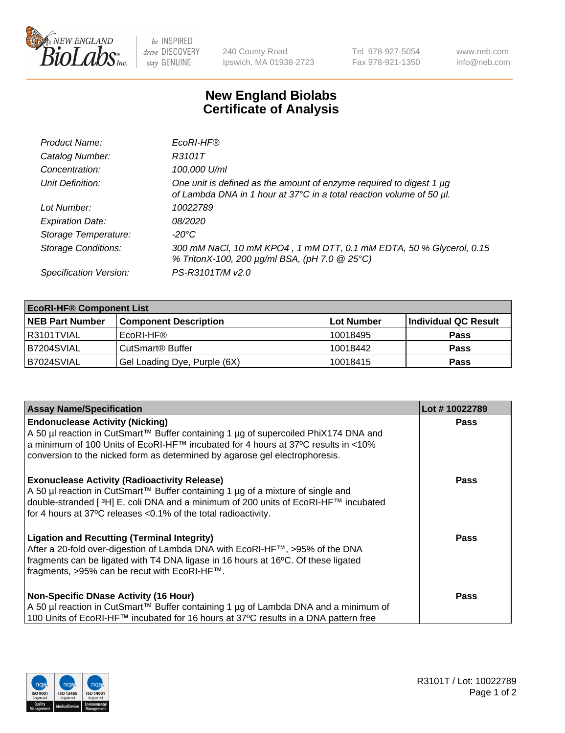

be INSPIRED drive DISCOVERY stay GENUINE

240 County Road Ipswich, MA 01938-2723 Tel 978-927-5054 Fax 978-921-1350 www.neb.com info@neb.com

## **New England Biolabs Certificate of Analysis**

| Product Name:              | EcoRI-HF®                                                                                                                                   |
|----------------------------|---------------------------------------------------------------------------------------------------------------------------------------------|
| Catalog Number:            | R3101T                                                                                                                                      |
| Concentration:             | 100,000 U/ml                                                                                                                                |
| Unit Definition:           | One unit is defined as the amount of enzyme required to digest 1 µg<br>of Lambda DNA in 1 hour at 37°C in a total reaction volume of 50 µl. |
| Lot Number:                | 10022789                                                                                                                                    |
| <b>Expiration Date:</b>    | 08/2020                                                                                                                                     |
| Storage Temperature:       | -20°C                                                                                                                                       |
| <b>Storage Conditions:</b> | 300 mM NaCl, 10 mM KPO4, 1 mM DTT, 0.1 mM EDTA, 50 % Glycerol, 0.15<br>% TritonX-100, 200 µg/ml BSA, (pH 7.0 @ 25°C)                        |
| Specification Version:     | PS-R3101T/M v2.0                                                                                                                            |

| <b>EcoRI-HF® Component List</b> |                              |            |                      |  |  |
|---------------------------------|------------------------------|------------|----------------------|--|--|
| <b>NEB Part Number</b>          | <b>Component Description</b> | Lot Number | Individual QC Result |  |  |
| R3101TVIAL                      | EcoRI-HF®                    | 10018495   | <b>Pass</b>          |  |  |
| IB7204SVIAL                     | CutSmart® Buffer             | 10018442   | <b>Pass</b>          |  |  |
| B7024SVIAL                      | Gel Loading Dye, Purple (6X) | 10018415   | <b>Pass</b>          |  |  |

| <b>Assay Name/Specification</b>                                                                                                                                                                                                                                                                             | Lot #10022789 |
|-------------------------------------------------------------------------------------------------------------------------------------------------------------------------------------------------------------------------------------------------------------------------------------------------------------|---------------|
| <b>Endonuclease Activity (Nicking)</b><br>  A 50 µl reaction in CutSmart™ Buffer containing 1 µg of supercoiled PhiX174 DNA and                                                                                                                                                                             | <b>Pass</b>   |
| a minimum of 100 Units of EcoRI-HF™ incubated for 4 hours at 37ºC results in <10%<br>conversion to the nicked form as determined by agarose gel electrophoresis.                                                                                                                                            |               |
| <b>Exonuclease Activity (Radioactivity Release)</b><br>A 50 µl reaction in CutSmart™ Buffer containing 1 µg of a mixture of single and<br>double-stranded [ <sup>3</sup> H] E. coli DNA and a minimum of 200 units of EcoRI-HF™ incubated<br>for 4 hours at 37°C releases <0.1% of the total radioactivity. | <b>Pass</b>   |
| <b>Ligation and Recutting (Terminal Integrity)</b><br>After a 20-fold over-digestion of Lambda DNA with EcoRI-HF™, >95% of the DNA<br>fragments can be ligated with T4 DNA ligase in 16 hours at 16°C. Of these ligated<br>fragments, >95% can be recut with EcoRI-HF™.                                     | <b>Pass</b>   |
| <b>Non-Specific DNase Activity (16 Hour)</b><br>A 50 µl reaction in CutSmart™ Buffer containing 1 µg of Lambda DNA and a minimum of<br>100 Units of EcoRI-HF™ incubated for 16 hours at 37°C results in a DNA pattern free                                                                                  | <b>Pass</b>   |